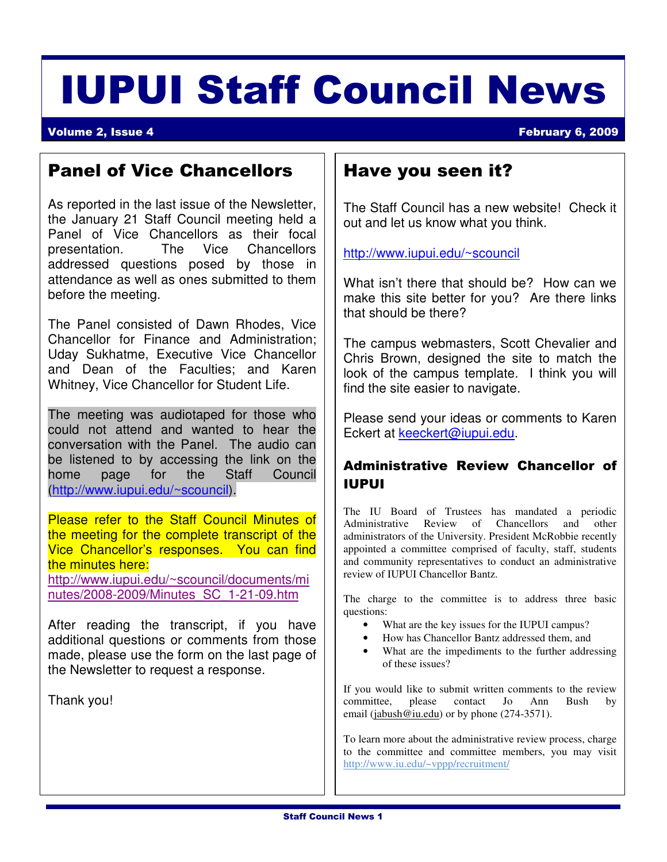# IUPUI Staff Council News

#### **Volume 2, Issue 4 February 6, 2009**

# Panel of Vice Chancellors

As reported in the last issue of the Newsletter, the January 21 Staff Council meeting held a Panel of Vice Chancellors as their focal presentation. The Vice Chancellors addressed questions posed by those in attendance as well as ones submitted to them before the meeting.

The Panel consisted of Dawn Rhodes, Vice Chancellor for Finance and Administration; Uday Sukhatme, Executive Vice Chancellor and Dean of the Faculties; and Karen Whitney, Vice Chancellor for Student Life.

The meeting was audiotaped for those who could not attend and wanted to hear the conversation with the Panel. The audio can be listened to by accessing the link on the home page for the Staff Council (http://www.iupui.edu/~scouncil).

 the minutes here: Please refer to the Staff Council Minutes of the meeting for the complete transcript of the Vice Chancellor's responses. You can find

http://www.iupui.edu/~scouncil/documents/mi nutes/2008-2009/Minutes\_SC\_1-21-09.htm

After reading the transcript, if you have additional questions or comments from those made, please use the form on the last page of the Newsletter to request a response.

Thank you!

## Have you seen it?

The Staff Council has a new website! Check it out and let us know what you think.

http://www.iupui.edu/~scouncil

What isn't there that should be? How can we make this site better for you? Are there links that should be there?

The campus webmasters, Scott Chevalier and Chris Brown, designed the site to match the look of the campus template. I think you will find the site easier to navigate.

Please send your ideas or comments to Karen Eckert at keeckert@iupui.edu.

### Administrative Review Chancellor of IUPUI

The IU Board of Trustees has mandated a periodic Administrative Review of Chancellors and other administrators of the University. President McRobbie recently appointed a committee comprised of faculty, staff, students and community representatives to conduct an administrative review of IUPUI Chancellor Bantz.

The charge to the committee is to address three basic questions:

- What are the key issues for the IUPUI campus?
- How has Chancellor Bantz addressed them, and
- What are the impediments to the further addressing of these issues?

If you would like to submit written comments to the review committee, please contact Jo Ann Bush by email (jabush@iu.edu) or by phone (274-3571).

To learn more about the administrative review process, charge to the committee and committee members, you may visit http://www.iu.edu/~vppp/recruitment/

 $\overline{a}$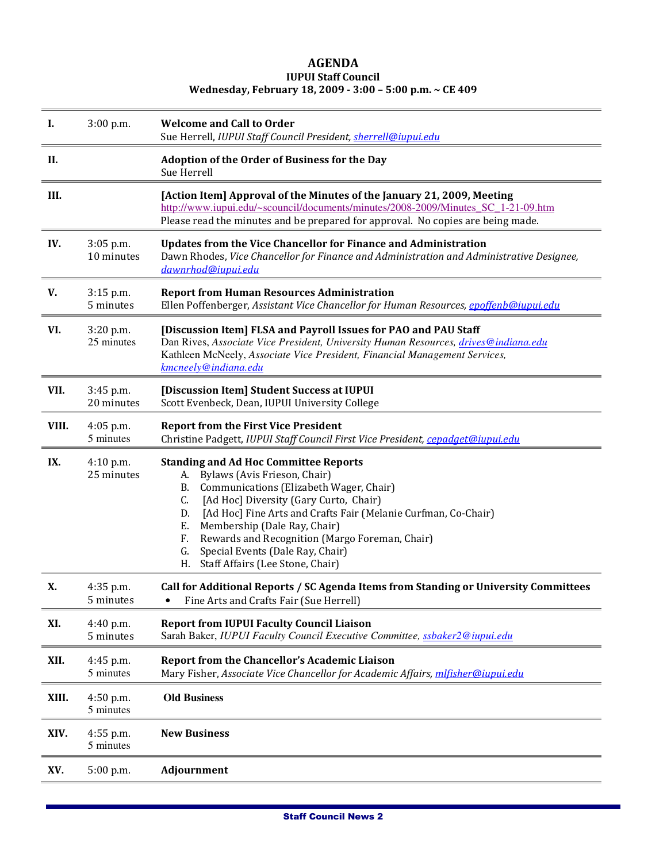#### AGENDA IUPUI Staff Council Wednesday, February 18, 2009 - 3:00 – 5:00 p.m. ~ CE 409

| Ι.    | $3:00$ p.m.              | <b>Welcome and Call to Order</b><br>Sue Herrell, IUPUI Staff Council President, sherrell@iupui.edu                                                                                                                                                                                                                                                                                                                                         |
|-------|--------------------------|--------------------------------------------------------------------------------------------------------------------------------------------------------------------------------------------------------------------------------------------------------------------------------------------------------------------------------------------------------------------------------------------------------------------------------------------|
| II.   |                          | <b>Adoption of the Order of Business for the Day</b><br>Sue Herrell                                                                                                                                                                                                                                                                                                                                                                        |
| III.  |                          | [Action Item] Approval of the Minutes of the January 21, 2009, Meeting<br>http://www.iupui.edu/~scouncil/documents/minutes/2008-2009/Minutes SC 1-21-09.htm<br>Please read the minutes and be prepared for approval. No copies are being made.                                                                                                                                                                                             |
| IV.   | 3:05 p.m.<br>10 minutes  | <b>Updates from the Vice Chancellor for Finance and Administration</b><br>Dawn Rhodes, Vice Chancellor for Finance and Administration and Administrative Designee,<br>dawnrhod@iupui.edu                                                                                                                                                                                                                                                   |
| V.    | 3:15 p.m.<br>5 minutes   | <b>Report from Human Resources Administration</b><br>Ellen Poffenberger, Assistant Vice Chancellor for Human Resources, epoffenb@iupui.edu                                                                                                                                                                                                                                                                                                 |
| VI.   | 3:20 p.m.<br>25 minutes  | [Discussion Item] FLSA and Payroll Issues for PAO and PAU Staff<br>Dan Rives, Associate Vice President, University Human Resources, drives@indiana.edu<br>Kathleen McNeely, Associate Vice President, Financial Management Services,<br>kmcneely@indiana.edu                                                                                                                                                                               |
| VII.  | 3:45 p.m.<br>20 minutes  | [Discussion Item] Student Success at IUPUI<br>Scott Evenbeck, Dean, IUPUI University College                                                                                                                                                                                                                                                                                                                                               |
| VIII. | $4:05$ p.m.<br>5 minutes | <b>Report from the First Vice President</b><br>Christine Padgett, IUPUI Staff Council First Vice President, cepadget@iupui.edu                                                                                                                                                                                                                                                                                                             |
| IX.   | 4:10 p.m.<br>25 minutes  | <b>Standing and Ad Hoc Committee Reports</b><br>A. Bylaws (Avis Frieson, Chair)<br>Communications (Elizabeth Wager, Chair)<br>В.<br>[Ad Hoc] Diversity (Gary Curto, Chair)<br>C.<br>[Ad Hoc] Fine Arts and Crafts Fair (Melanie Curfman, Co-Chair)<br>D.<br>Membership (Dale Ray, Chair)<br>Е.<br>Rewards and Recognition (Margo Foreman, Chair)<br>F.<br>Special Events (Dale Ray, Chair)<br>G.<br>H.<br>Staff Affairs (Lee Stone, Chair) |
| Х.    | 4:35 p.m.<br>5 minutes   | Call for Additional Reports / SC Agenda Items from Standing or University Committees<br>Fine Arts and Crafts Fair (Sue Herrell)                                                                                                                                                                                                                                                                                                            |
| XI.   | 4:40 p.m.<br>5 minutes   | <b>Report from IUPUI Faculty Council Liaison</b><br>Sarah Baker, IUPUI Faculty Council Executive Committee, ssbaker2@iupui.edu                                                                                                                                                                                                                                                                                                             |
| XII.  | 4:45 p.m.<br>5 minutes   | Report from the Chancellor's Academic Liaison<br>Mary Fisher, Associate Vice Chancellor for Academic Affairs, mlfisher@iupui.edu                                                                                                                                                                                                                                                                                                           |
| XIII. | 4:50 p.m.<br>5 minutes   | <b>Old Business</b>                                                                                                                                                                                                                                                                                                                                                                                                                        |
| XIV.  | 4:55 p.m.<br>5 minutes   | <b>New Business</b>                                                                                                                                                                                                                                                                                                                                                                                                                        |
| XV.   | 5:00 p.m.                | Adjournment                                                                                                                                                                                                                                                                                                                                                                                                                                |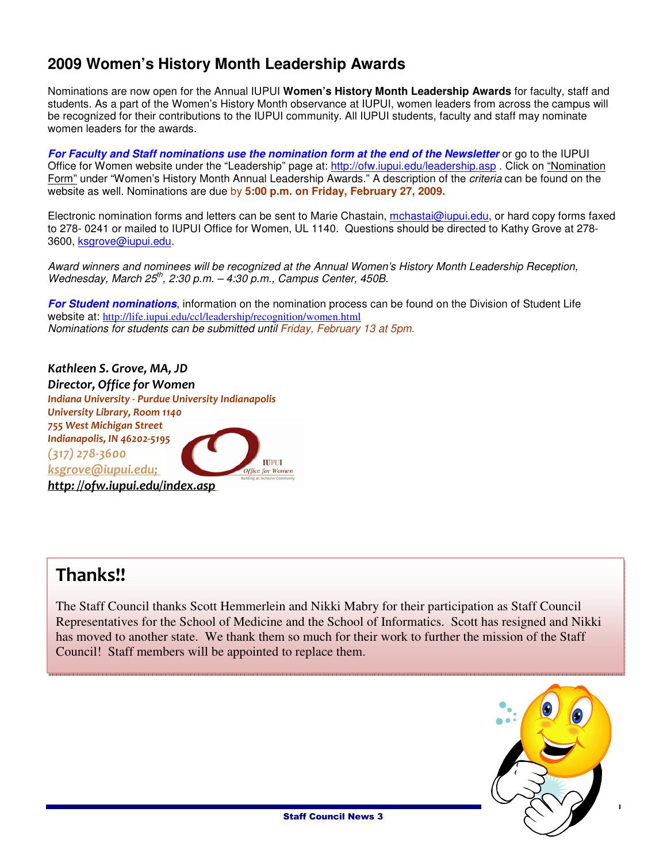## **2009 Women's History Month Leadership Awards**

Nominations are now open for the Annual IUPUI **Women's History Month Leadership Awards** for faculty, staff and students. As a part of the Women's History Month observance at IUPUI, women leaders from across the campus will be recognized for their contributions to the IUPUI community. All IUPUI students, faculty and staff may nominate women leaders for the awards.

**For Faculty and Staff nominations use the nomination form at the end of the Newsletter** or go to the IUPUI Office for Women website under the "Leadership" page at: http://ofw.iupui.edu/leadership.asp . Click on "Nomination Form" under "Women's History Month Annual Leadership Awards." A description of the criteria can be found on the website as well. Nominations are due by **5:00 p.m. on Friday, February 27, 2009.** 

Electronic nomination forms and letters can be sent to Marie Chastain, mchastai@iupui.edu, or hard copy forms faxed to 278- 0241 or mailed to IUPUI Office for Women, UL 1140. Questions should be directed to Kathy Grove at 278- 3600, ksgrove@iupui.edu.

Award winners and nominees will be recognized at the Annual Women's History Month Leadership Reception, Wednesday, March  $25^{th}$ , 2:30 p.m.  $-4:30$  p.m., Campus Center, 450B.

**For Student nominations**, information on the nomination process can be found on the Division of Student Life website at: http://life.iupui.edu/ccl/leadership/recognition/women.html Nominations for students can be submitted until Friday, February 13 at 5pm.

Kathleen S. Grove, MA, JD Director, Office for Women Indiana University - Purdue University Indianapolis University Library, Room 1140 755 West Michigan Street Indianapolis, IN 46202-5195 (317) 278-3600 **IUPUI** ksgrove@iupui.edu; **Office for Women** http: //ofw.iupui.edu/index.asp

# Thanks!!

Ī

The Staff Council thanks Scott Hemmerlein and Nikki Mabry for their participation as Staff Council Representatives for the School of Medicine and the School of Informatics. Scott has resigned and Nikki has moved to another state. We thank them so much for their work to further the mission of the Staff Council! Staff members will be appointed to replace them.



Staff Council News 3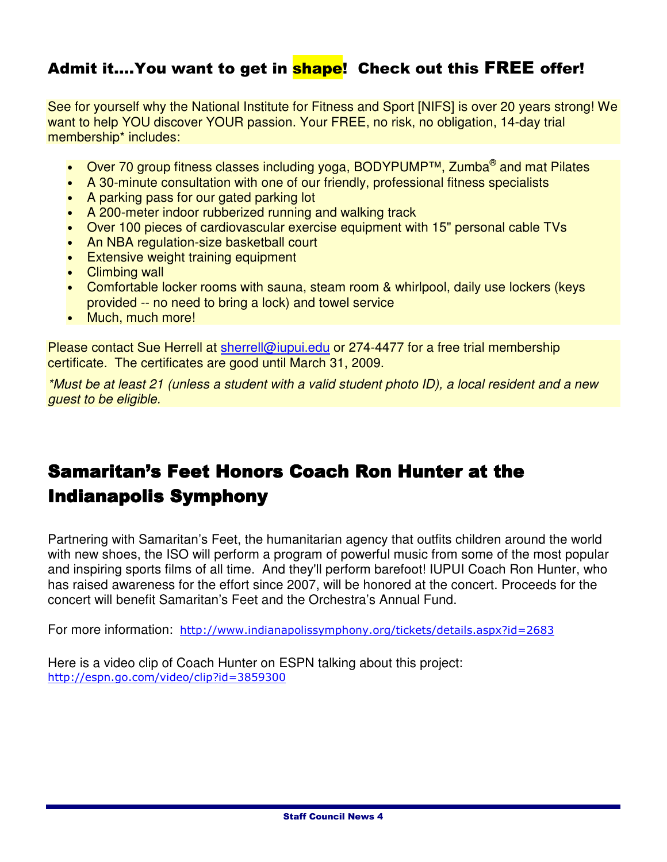# Admit it.... You want to get in **shape!** Check out this FREE offer!

See for yourself why the National Institute for Fitness and Sport [NIFS] is over 20 years strong! We want to help YOU discover YOUR passion. Your FREE, no risk, no obligation, 14-day trial membership\* includes:

- Over 70 group fitness classes including yoga, BODYPUMP™, Zumba® and mat Pilates
- A 30-minute consultation with one of our friendly, professional fitness specialists
- A parking pass for our gated parking lot
- A 200-meter indoor rubberized running and walking track
- Over 100 pieces of cardiovascular exercise equipment with 15" personal cable TVs
- An NBA regulation-size basketball court
- Extensive weight training equipment
- Climbing wall
- Comfortable locker rooms with sauna, steam room & whirlpool, daily use lockers (keys provided -- no need to bring a lock) and towel service
- Much, much more!

Please contact Sue Herrell at sherrell@iupui.edu or 274-4477 for a free trial membership certificate. The certificates are good until March 31, 2009.

\*Must be at least 21 (unless a student with a valid student photo ID), a local resident and a new guest to be eligible.

# Samaritan's Feet Honors Coach Ron Hunter at the Indianapolis Symphony

Partnering with Samaritan's Feet, the humanitarian agency that outfits children around the world with new shoes, the ISO will perform a program of powerful music from some of the most popular and inspiring sports films of all time. And they'll perform barefoot! IUPUI Coach Ron Hunter, who has raised awareness for the effort since 2007, will be honored at the concert. Proceeds for the concert will benefit Samaritan's Feet and the Orchestra's Annual Fund.

For more information: http://www.indianapolissymphony.org/tickets/details.aspx?id=2683

Here is a video clip of Coach Hunter on ESPN talking about this project: http://espn.go.com/video/clip?id=3859300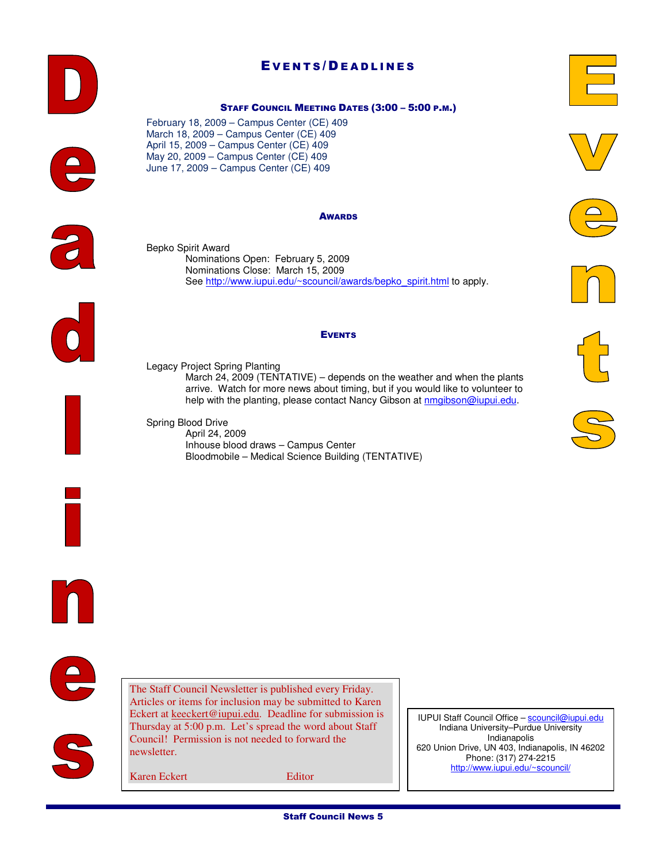#### The Staff Council Newsletter is published every Friday. Articles or items for inclusion may be submitted to Karen

IUPUI Staff Council Office - scouncil@iupui.edu Indiana University–Purdue University Indianapolis 620 Union Drive, UN 403, Indianapolis, IN 46202 Phone: (317) 274-2215 http://www.iupui.edu/~scouncil/

Eckert at keeckert@iupui.edu. Deadline for submission is Thursday at 5:00 p.m. Let's spread the word about Staff Council! Permission is not needed to forward the

# EVENTS/DEADLINES

#### STAFF COUNCIL MEETING DATES (3:00 – 5:00 P.M.)

February 18, 2009 – Campus Center (CE) 409 March 18, 2009 – Campus Center (CE) 409 April 15, 2009 – Campus Center (CE) 409 May 20, 2009 – Campus Center (CE) 409 June 17, 2009 – Campus Center (CE) 409

#### AWARDS

Bepko Spirit Award Nominations Open: February 5, 2009 Nominations Close: March 15, 2009 See http://www.iupui.edu/~scouncil/awards/bepko\_spirit.html to apply.

#### EVENTS

Legacy Project Spring Planting March 24, 2009 (TENTATIVE) – depends on the weather and when the plants arrive. Watch for more news about timing, but if you would like to volunteer to help with the planting, please contact Nancy Gibson at nmgibson@iupui.edu.

Spring Blood Drive April 24, 2009 Inhouse blood draws – Campus Center Bloodmobile – Medical Science Building (TENTATIVE)

Karen Eckert Editor

newsletter.













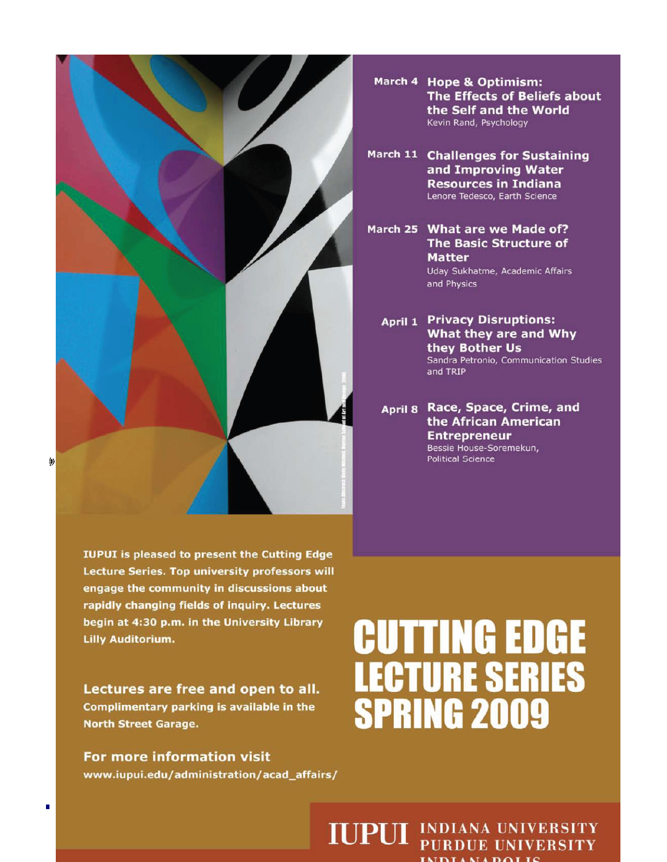**IUPUI** is pleased to present the Cutting Edge Lecture Series. Top university professors will engage the community in discussions about rapidly changing fields of inquiry. Lectures begin at 4:30 p.m. in the University Library **Lilly Auditorium.** 

Lectures are free and open to all. Complimentary parking is available in the **North Street Garage.** 

For more information visit www.iupui.edu/administration/acad\_affairs/

#### March 4 Hope & Optimism: **The Effects of Beliefs about** the Self and the World Kevin Rand, Psychology

- March 11 Challenges for Sustaining and Improving Water **Resources in Indiana** Lenore Tedesco, Earth Science
- March 25 What are we Made of? **The Basic Structure of Matter** Uday Sukhatme, Academic Affairs and Physics
	- **April 1 Privacy Disruptions:** What they are and Why they Bother Us Sandra Petronio, Communication Studies and TRIP

April 8 Race, Space, Crime, and the African American **Entrepreneur** Bessie House-Soremekun, **Political Science** 

# **CUTTING EDGE LECTURE SERIES**<br>SPRING 2009

**IUPUI** INDIANA UNIVERSITY **IMPLIMADOLIC** 

П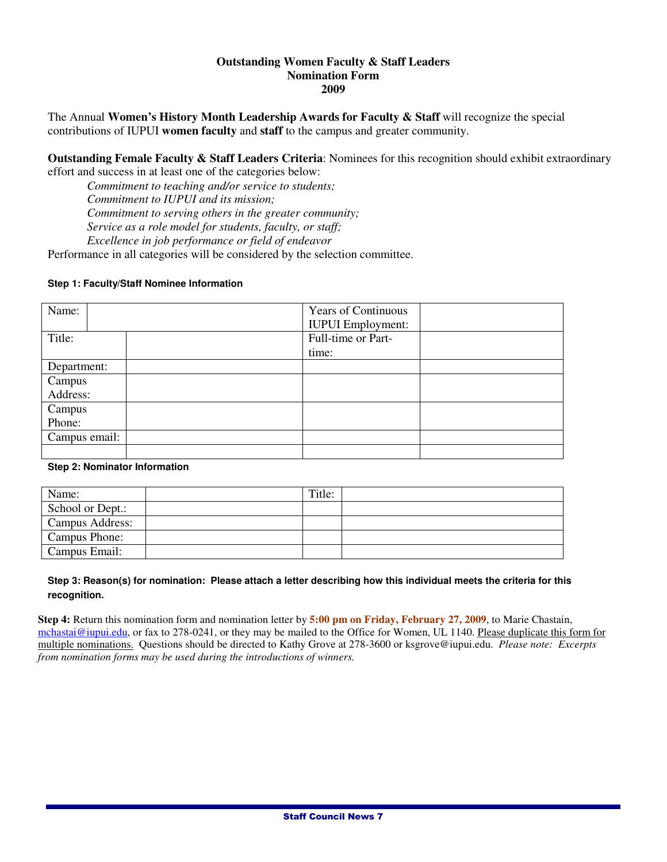#### **Outstanding Women Faculty & Staff Leaders Nomination Form 2009**

The Annual **Women's History Month Leadership Awards for Faculty & Staff** will recognize the special contributions of IUPUI **women faculty** and **staff** to the campus and greater community.

**Outstanding Female Faculty & Staff Leaders Criteria:** Nominees for this recognition should exhibit extraordinary effort and success in at least one of the categories below:

*Commitment to teaching and/or service to students;* 

*Commitment to IUPUI and its mission;* 

*Commitment to serving others in the greater community;* 

*Service as a role model for students, faculty, or staff;* 

*Excellence in job performance or field of endeavor* 

Performance in all categories will be considered by the selection committee.

#### **Step 1: Faculty/Staff Nominee Information**

| Name:         | <b>Years of Continuous</b> |  |
|---------------|----------------------------|--|
|               | <b>IUPUI</b> Employment:   |  |
| Title:        | Full-time or Part-         |  |
|               | time:                      |  |
| Department:   |                            |  |
| Campus        |                            |  |
| Address:      |                            |  |
| Campus        |                            |  |
| Phone:        |                            |  |
| Campus email: |                            |  |
|               |                            |  |

#### **Step 2: Nominator Information**

| Name:            | Title: |  |
|------------------|--------|--|
| School or Dept.: |        |  |
| Campus Address:  |        |  |
| Campus Phone:    |        |  |
| Campus Email:    |        |  |

#### **Step 3: Reason(s) for nomination: Please attach a letter describing how this individual meets the criteria for this recognition.**

**Step 4:** Return this nomination form and nomination letter by **5:00 pm on Friday, February 27, 2009**, to Marie Chastain, mchastai@iupui.edu, or fax to 278-0241, or they may be mailed to the Office for Women, UL 1140. Please duplicate this form for multiple nominations. Questions should be directed to Kathy Grove at 278-3600 or ksgrove@iupui.edu. *Please note: Excerpts from nomination forms may be used during the introductions of winners.*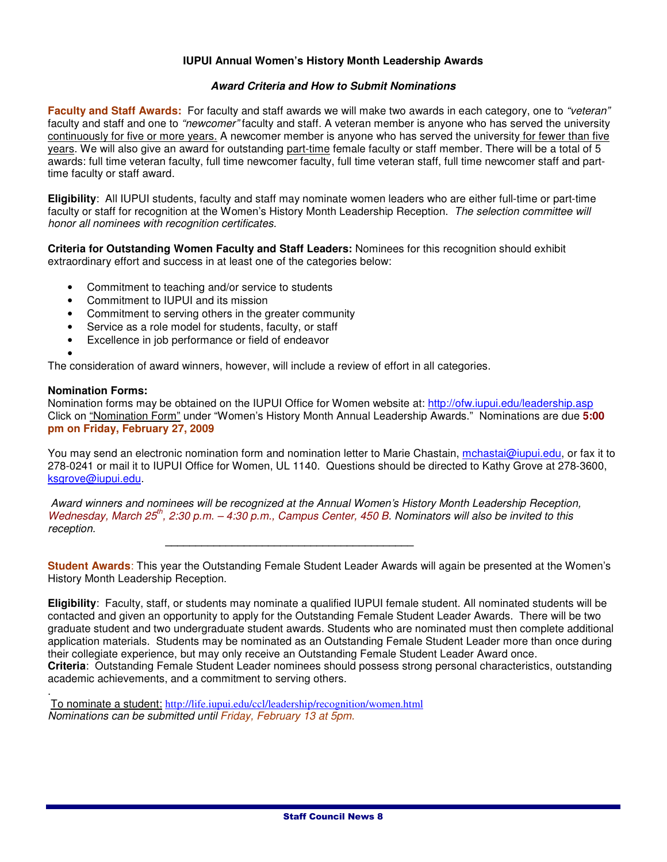#### **IUPUI Annual Women's History Month Leadership Awards**

#### **Award Criteria and How to Submit Nominations**

**Faculty and Staff Awards:** For faculty and staff awards we will make two awards in each category, one to "veteran" faculty and staff and one to "newcomer" faculty and staff. A veteran member is anyone who has served the university continuously for five or more years. A newcomer member is anyone who has served the university for fewer than five years. We will also give an award for outstanding part-time female faculty or staff member. There will be a total of 5 awards: full time veteran faculty, full time newcomer faculty, full time veteran staff, full time newcomer staff and parttime faculty or staff award.

**Eligibility**: All IUPUI students, faculty and staff may nominate women leaders who are either full-time or part-time faculty or staff for recognition at the Women's History Month Leadership Reception. The selection committee will honor all nominees with recognition certificates.

**Criteria for Outstanding Women Faculty and Staff Leaders:** Nominees for this recognition should exhibit extraordinary effort and success in at least one of the categories below:

- Commitment to teaching and/or service to students
- Commitment to IUPUI and its mission
- Commitment to serving others in the greater community
- Service as a role model for students, faculty, or staff
- Excellence in job performance or field of endeavor

• The consideration of award winners, however, will include a review of effort in all categories.

#### **Nomination Forms:**

.

Nomination forms may be obtained on the IUPUI Office for Women website at: http://ofw.iupui.edu/leadership.asp Click on "Nomination Form" under "Women's History Month Annual Leadership Awards." Nominations are due **5:00 pm on Friday, February 27, 2009**

You may send an electronic nomination form and nomination letter to Marie Chastain, mchastai@iupui.edu, or fax it to 278-0241 or mail it to IUPUI Office for Women, UL 1140. Questions should be directed to Kathy Grove at 278-3600, ksgrove@iupui.edu.

Award winners and nominees will be recognized at the Annual Women's History Month Leadership Reception, Wednesday, March 25<sup>th</sup>, 2:30 p.m.  $-$  4:30 p.m., Campus Center, 450 B. Nominators will also be invited to this reception.

**Student Awards**: This year the Outstanding Female Student Leader Awards will again be presented at the Women's History Month Leadership Reception.

**Eligibility**: Faculty, staff, or students may nominate a qualified IUPUI female student. All nominated students will be contacted and given an opportunity to apply for the Outstanding Female Student Leader Awards. There will be two graduate student and two undergraduate student awards. Students who are nominated must then complete additional application materials. Students may be nominated as an Outstanding Female Student Leader more than once during their collegiate experience, but may only receive an Outstanding Female Student Leader Award once. **Criteria**: Outstanding Female Student Leader nominees should possess strong personal characteristics, outstanding academic achievements, and a commitment to serving others.

 To nominate a student: http://life.iupui.edu/ccl/leadership/recognition/women.html Nominations can be submitted until Friday, February 13 at 5pm.

**\_\_\_\_\_\_\_\_\_\_\_\_\_\_\_\_\_\_\_\_\_\_\_\_\_\_\_\_\_\_\_\_\_\_\_\_\_\_\_\_\_**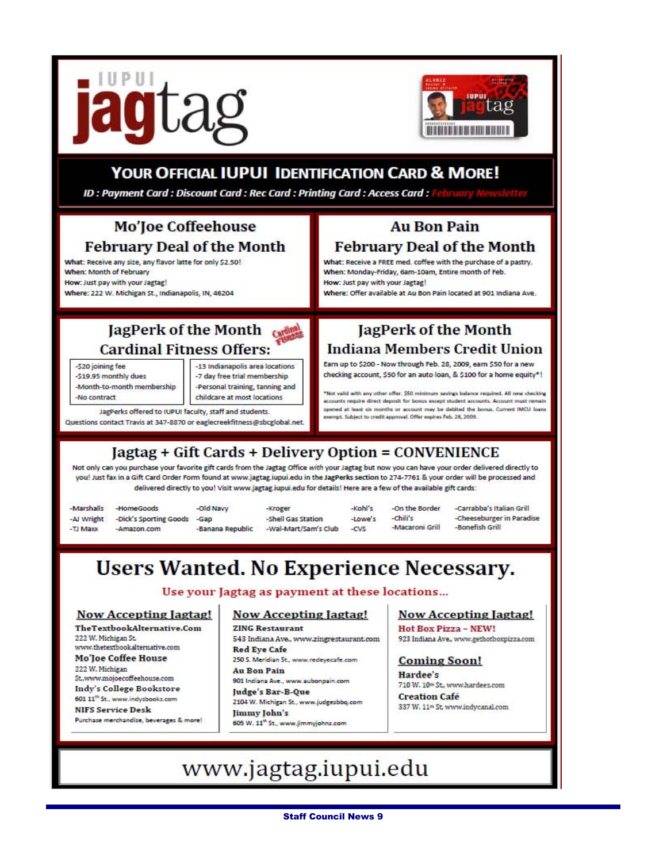



## **YOUR OFFICIAL IUPUI IDENTIFICATION CARD & MORE!**

ID: Payment Card: Discount Card: Rec Card: Printing Card: Access Card:

## Mo'Joe Coffeehouse **February Deal of the Month**

What: Receive any size, any flavor latte for only \$2.50! When: Month of February How: Just pay with your Jagtag! Where: 222 W. Michigan St., Indianapolis, IN, 46204

## JagPerk of the Month **Cardinal Fitness Offers:**

-\$20 joining fee

-\$19.95 monthly dues -Month-to-month membership -No contract

-13 Indianapolis area locations -7 day free trial membership -Personal training, tanning and childcare at most locations

JagPerks offered to JUPUI faculty, staff and students. Questions contact Travis at 347-8870 or eaglecreekfitness@sbcglobal.ne

### **Au Bon Pain February Deal of the Month**

What: Receive a FREE med. coffee with the purchase of a pastry. When: Monday-Friday, 6am-10am, Entire month of Feb. How: Just pay with your Jagtag!

Where: Offer available at Au Bon Pain located at 901 Indiana Ave.

## JagPerk of the Month **Indiana Members Credit Union**

Earn up to \$200 - Now through Feb. 28, 2009, earn \$50 for a new checking account, \$50 for an auto loan, & \$100 for a home equity\*!

Not valid with any other offer. \$50 minimum savings balance required. All new checking accounts require direct deposit for bonus except student accounts. Account must remain opened at least six months or account may be debited the bonus. Current IMCU loans exempt. Subject to credit approval. Offer expires Feb. 28, 2009.

# Jagtag + Gift Cards + Delivery Option = CONVENIENCE

Not only can you purchase your favorite gift cards from the Jagtag Office with your Jagtag but now you can have your order delivered directly to you! Just fax in a Gift Card Order Form found at www.jagtag.iupui.edu in the JagPerks section to 274-7761 & your order will be processed and delivered directly to you! Visit www.jagtag.iupui.edu for details! Here are a few of the available gift cards:

| -Marshalls | -HomeGoods                             | -old Navy        | -Kroger              | -Kohl's | -On the Border  | -Carrabba's Italian Grill |
|------------|----------------------------------------|------------------|----------------------|---------|-----------------|---------------------------|
|            | -AJ Wright -Dick's Sporting Goods -Gap |                  | -Shell Gas Station   | -Lowe's | $-chii's$       | -Cheeseburger in Paradise |
| -TJ Maxx   | -Amazon.com                            | -Banana Republic | -Wal-Mart/Sam's Club | -CVS    | -Macaroni Grill | -Bonefish Grill           |

# **Users Wanted. No Experience Necessary.**

Use your Jagtag as payment at these locations...

#### Now Accepting Jagtag!

TheTextbookAlternative.Com 222 W. Michigan St. www.thetextbookalternative.com **Mo'Joe Coffee House** 222 W. Michigan St.www.mojoecoffeehouse.com Indy's College Bookstore 601 11<sup>th</sup> St., www.indysbooks.com **NIFS Service Desk** 

Purchase merchandise, beverages & more!

#### **Now Accepting Jagtag!**

**ZING Restaurant** 543 Indiana Ave., www.zingrestaurant.com **Red Eye Cafe** 250 S. Meridian St., www.redeyecafe.com **Au Ron Pain** 

901 Indiana Ave., www.aubonpain.com

Judge's Bar-B-Que 2104 W. Michigan St., www.judgesbbq.com

Jimmy John's 605 W. 11<sup>th</sup> St., www.jimmyjohns.com

#### **Now Accepting Jagtag!**

Hot Box Pizza - NEW! 923 Indiana Ave., www.gethotboxpizza.com

#### **Coming Soon!**

Hardee's 710 W. 10th St., www.hardees.com **Creation Cafe** 337 W. 11<sup>th</sup> St, www.indycanal.com

# www.jagtag.iupui.edu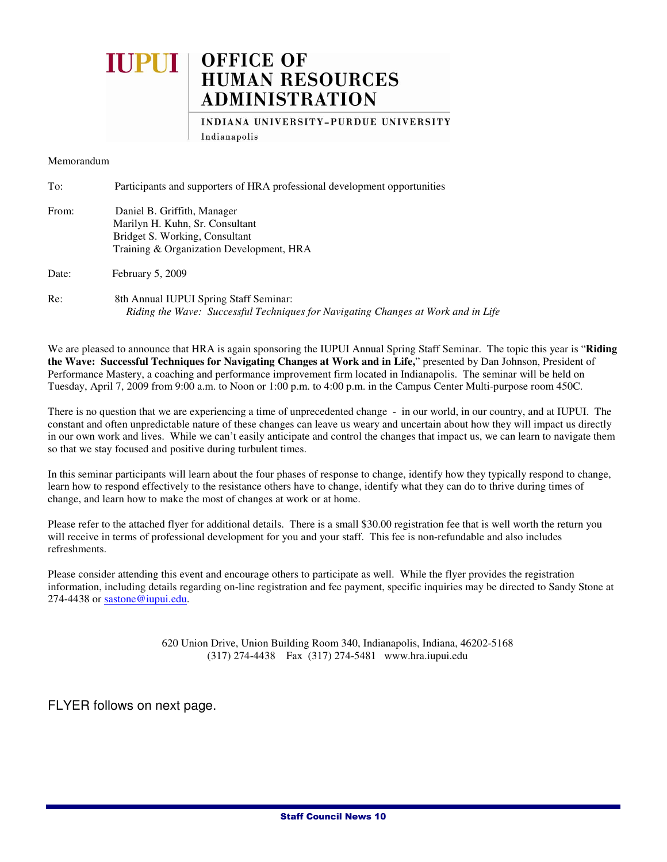# **OFFICE OF<br>HUMAN RESOURCES IUPUI ADMINISTRATION**

INDIANA UNIVERSITY-PURDUE UNIVERSITY Indianapolis

Memorandum

| To:   | Participants and supporters of HRA professional development opportunities                                                                    |
|-------|----------------------------------------------------------------------------------------------------------------------------------------------|
| From: | Daniel B. Griffith, Manager<br>Marilyn H. Kuhn, Sr. Consultant<br>Bridget S. Working, Consultant<br>Training & Organization Development, HRA |
| Date: | February $5, 2009$                                                                                                                           |
| Re:   | 8th Annual IUPUI Spring Staff Seminar:<br>Riding the Wave: Successful Techniques for Navigating Changes at Work and in Life                  |

We are pleased to announce that HRA is again sponsoring the IUPUI Annual Spring Staff Seminar. The topic this year is "**Riding the Wave: Successful Techniques for Navigating Changes at Work and in Life,**" presented by Dan Johnson, President of Performance Mastery, a coaching and performance improvement firm located in Indianapolis. The seminar will be held on Tuesday, April 7, 2009 from 9:00 a.m. to Noon or 1:00 p.m. to 4:00 p.m. in the Campus Center Multi-purpose room 450C.

There is no question that we are experiencing a time of unprecedented change - in our world, in our country, and at IUPUI. The constant and often unpredictable nature of these changes can leave us weary and uncertain about how they will impact us directly in our own work and lives. While we can't easily anticipate and control the changes that impact us, we can learn to navigate them so that we stay focused and positive during turbulent times.

In this seminar participants will learn about the four phases of response to change, identify how they typically respond to change, learn how to respond effectively to the resistance others have to change, identify what they can do to thrive during times of change, and learn how to make the most of changes at work or at home.

Please refer to the attached flyer for additional details. There is a small \$30.00 registration fee that is well worth the return you will receive in terms of professional development for you and your staff. This fee is non-refundable and also includes refreshments.

Please consider attending this event and encourage others to participate as well. While the flyer provides the registration information, including details regarding on-line registration and fee payment, specific inquiries may be directed to Sandy Stone at 274-4438 or sastone@iupui.edu.

> 620 Union Drive, Union Building Room 340, Indianapolis, Indiana, 46202-5168 (317) 274-4438 Fax (317) 274-5481 www.hra.iupui.edu

FLYER follows on next page.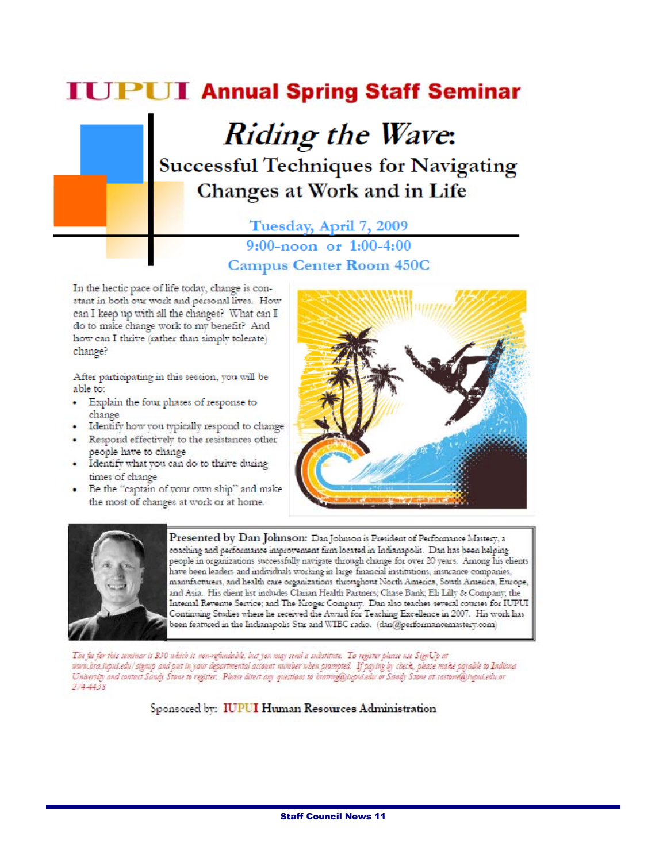# **IUPUI Annual Spring Staff Seminar**

# **Riding the Wave: Successful Techniques for Navigating** Changes at Work and in Life

Tuesday, April 7, 2009

 $9:00$ -noon or  $1:00$ -4:00 **Campus Center Room 450C** 

In the hectic pace of life today, change is constant in both our work and personal lives. How can I keep up with all the changes? What can I do to make change work to my benefit? And how can I thrive (rather than simply tolerate) change?

After participating in this session, you will be able to:

- · Explain the four phases of response to change
- · Identify how you typically respond to change · Respond effectively to the resistances other
- people have to change
- · Identify what you can do to thrive during times of change
- Be the "captain of your own ship" and make the most of changes at work or at home.





Presented by Dan Johnson: Dan Johnson is President of Performance Mastery, a coaching and performance improvement firm located in Indianapolis. Dan has been helping people in organizations successfully navigate through change for over 20 years. Among his clients have been leaders and individuals working in large financial institutions, insurance companies, manufacturers, and health care organizations throughout North America, South America, Europe, and Asia. His client list includes Clarian Health Partners; Chase Bank; Eli Lilly & Company; the Intemal Revenue Service; and The Kroger Company. Dan also teaches several courses for IUPUI Continuing Studies where he received the Award for Teaching Excellence in 2007. His work has been featured in the Indianapolis Star and WIBC radio. (dan@performancemastery.com)

The fee for this seminar is \$30 which is non-refundable, but you may send a substitute. To register please use SignUp at www.bra.iupui.edu/sigmp and put in your departmental account number when prompted. If paying by check, please make payable to Indiana<br>University and contact Sandy Stone to register. Please direct any questions to brattrog@ 274-4438

Sponsored by: IUPUI Human Resources Administration